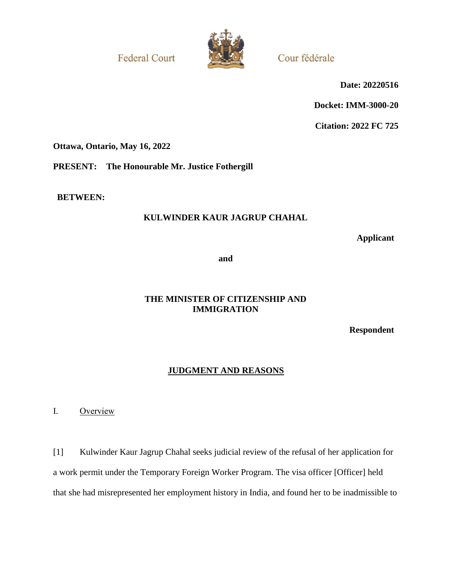**Federal Court** 



Cour fédérale

**Date: 20220516**

**Docket: IMM-3000-20**

**Citation: 2022 FC 725**

**Ottawa, Ontario, May 16, 2022**

**PRESENT: The Honourable Mr. Justice Fothergill**

**BETWEEN:**

# **KULWINDER KAUR JAGRUP CHAHAL**

**Applicant**

**and**

## **THE MINISTER OF CITIZENSHIP AND IMMIGRATION**

**Respondent**

# **JUDGMENT AND REASONS**

I. Overview

[1] Kulwinder Kaur Jagrup Chahal seeks judicial review of the refusal of her application for a work permit under the Temporary Foreign Worker Program. The visa officer [Officer] held that she had misrepresented her employment history in India, and found her to be inadmissible to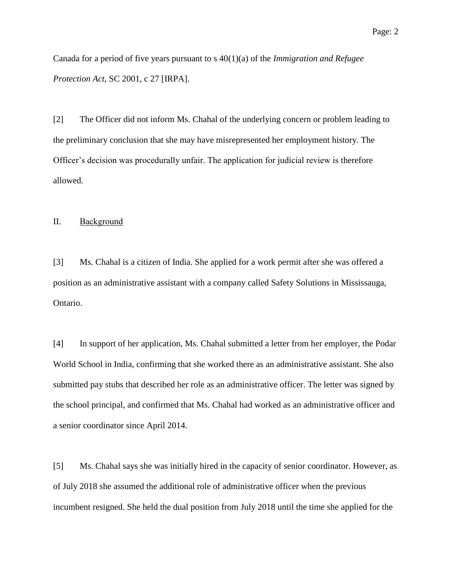Canada for a period of five years pursuant to s 40(1)(a) of the *Immigration and Refugee Protection Act*, SC 2001, c 27 [IRPA].

[2] The Officer did not inform Ms. Chahal of the underlying concern or problem leading to the preliminary conclusion that she may have misrepresented her employment history. The Officer's decision was procedurally unfair. The application for judicial review is therefore allowed.

### II. Background

[3] Ms. Chahal is a citizen of India. She applied for a work permit after she was offered a position as an administrative assistant with a company called Safety Solutions in Mississauga, Ontario.

[4] In support of her application, Ms. Chahal submitted a letter from her employer, the Podar World School in India, confirming that she worked there as an administrative assistant. She also submitted pay stubs that described her role as an administrative officer. The letter was signed by the school principal, and confirmed that Ms. Chahal had worked as an administrative officer and a senior coordinator since April 2014.

[5] Ms. Chahal says she was initially hired in the capacity of senior coordinator. However, as of July 2018 she assumed the additional role of administrative officer when the previous incumbent resigned. She held the dual position from July 2018 until the time she applied for the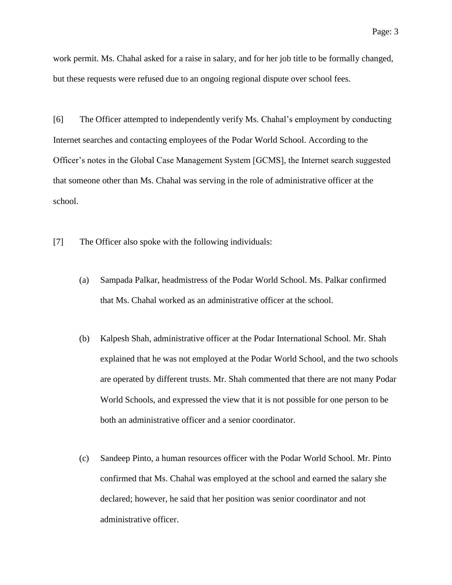work permit. Ms. Chahal asked for a raise in salary, and for her job title to be formally changed, but these requests were refused due to an ongoing regional dispute over school fees.

[6] The Officer attempted to independently verify Ms. Chahal's employment by conducting Internet searches and contacting employees of the Podar World School. According to the Officer's notes in the Global Case Management System [GCMS], the Internet search suggested that someone other than Ms. Chahal was serving in the role of administrative officer at the school.

[7] The Officer also spoke with the following individuals:

- (a) Sampada Palkar, headmistress of the Podar World School. Ms. Palkar confirmed that Ms. Chahal worked as an administrative officer at the school.
- (b) Kalpesh Shah, administrative officer at the Podar International School. Mr. Shah explained that he was not employed at the Podar World School, and the two schools are operated by different trusts. Mr. Shah commented that there are not many Podar World Schools, and expressed the view that it is not possible for one person to be both an administrative officer and a senior coordinator.
- (c) Sandeep Pinto, a human resources officer with the Podar World School. Mr. Pinto confirmed that Ms. Chahal was employed at the school and earned the salary she declared; however, he said that her position was senior coordinator and not administrative officer.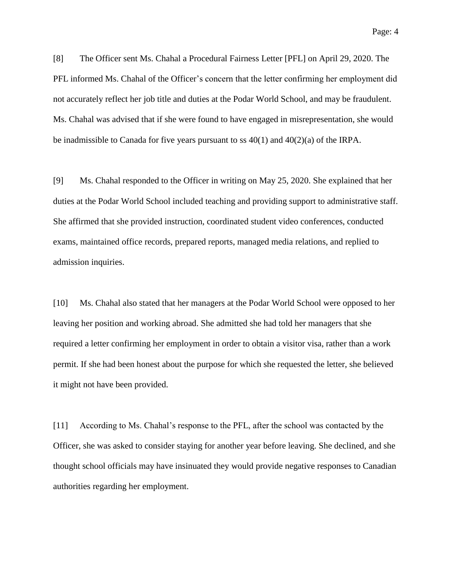[8] The Officer sent Ms. Chahal a Procedural Fairness Letter [PFL] on April 29, 2020. The PFL informed Ms. Chahal of the Officer's concern that the letter confirming her employment did not accurately reflect her job title and duties at the Podar World School, and may be fraudulent. Ms. Chahal was advised that if she were found to have engaged in misrepresentation, she would be inadmissible to Canada for five years pursuant to ss  $40(1)$  and  $40(2)(a)$  of the IRPA.

[9] Ms. Chahal responded to the Officer in writing on May 25, 2020. She explained that her duties at the Podar World School included teaching and providing support to administrative staff. She affirmed that she provided instruction, coordinated student video conferences, conducted exams, maintained office records, prepared reports, managed media relations, and replied to admission inquiries.

[10] Ms. Chahal also stated that her managers at the Podar World School were opposed to her leaving her position and working abroad. She admitted she had told her managers that she required a letter confirming her employment in order to obtain a visitor visa, rather than a work permit. If she had been honest about the purpose for which she requested the letter, she believed it might not have been provided.

[11] According to Ms. Chahal's response to the PFL, after the school was contacted by the Officer, she was asked to consider staying for another year before leaving. She declined, and she thought school officials may have insinuated they would provide negative responses to Canadian authorities regarding her employment.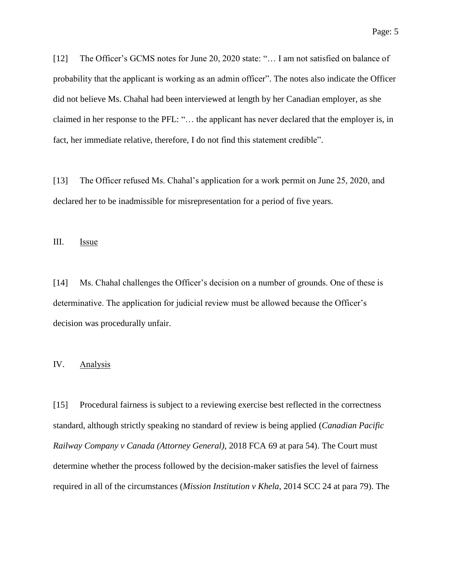[12] The Officer's GCMS notes for June 20, 2020 state: "... I am not satisfied on balance of probability that the applicant is working as an admin officer". The notes also indicate the Officer did not believe Ms. Chahal had been interviewed at length by her Canadian employer, as she claimed in her response to the PFL: "… the applicant has never declared that the employer is, in fact, her immediate relative, therefore, I do not find this statement credible".

[13] The Officer refused Ms. Chahal's application for a work permit on June 25, 2020, and declared her to be inadmissible for misrepresentation for a period of five years.

III. **Issue** 

[14] Ms. Chahal challenges the Officer's decision on a number of grounds. One of these is determinative. The application for judicial review must be allowed because the Officer's decision was procedurally unfair.

### IV. Analysis

[15] Procedural fairness is subject to a reviewing exercise best reflected in the correctness standard, although strictly speaking no standard of review is being applied (*Canadian Pacific Railway Company v Canada (Attorney General)*, 2018 FCA 69 at para 54). The Court must determine whether the process followed by the decision-maker satisfies the level of fairness required in all of the circumstances (*Mission Institution v Khela*, 2014 SCC 24 at para 79). The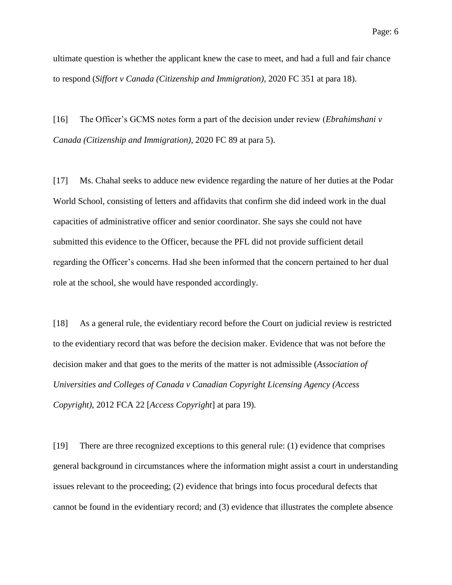ultimate question is whether the applicant knew the case to meet, and had a full and fair chance to respond (*Siffort v Canada (Citizenship and Immigration)*, 2020 FC 351 at para 18).

[16] The Officer's GCMS notes form a part of the decision under review (*Ebrahimshani v Canada (Citizenship and Immigration)*, 2020 FC 89 at para 5).

[17] Ms. Chahal seeks to adduce new evidence regarding the nature of her duties at the Podar World School, consisting of letters and affidavits that confirm she did indeed work in the dual capacities of administrative officer and senior coordinator. She says she could not have submitted this evidence to the Officer, because the PFL did not provide sufficient detail regarding the Officer's concerns. Had she been informed that the concern pertained to her dual role at the school, she would have responded accordingly.

[18] As a general rule, the evidentiary record before the Court on judicial review is restricted to the evidentiary record that was before the decision maker. Evidence that was not before the decision maker and that goes to the merits of the matter is not admissible (*Association of Universities and Colleges of Canada v Canadian Copyright Licensing Agency (Access Copyright)*, 2012 FCA 22 [*Access Copyright*] at para 19).

[19] There are three recognized exceptions to this general rule: (1) evidence that comprises general background in circumstances where the information might assist a court in understanding issues relevant to the proceeding; (2) evidence that brings into focus procedural defects that cannot be found in the evidentiary record; and (3) evidence that illustrates the complete absence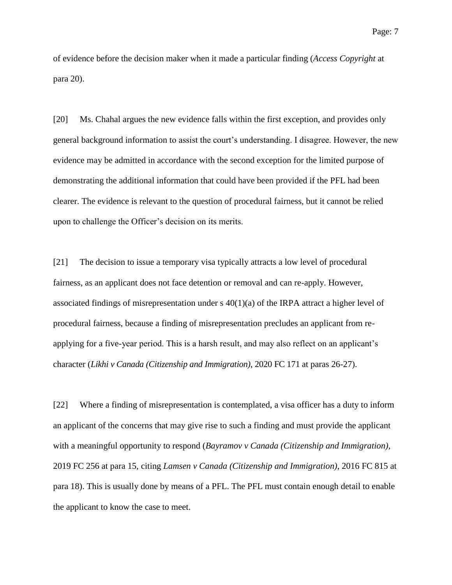of evidence before the decision maker when it made a particular finding (*Access Copyright* at para 20).

[20] Ms. Chahal argues the new evidence falls within the first exception, and provides only general background information to assist the court's understanding. I disagree. However, the new evidence may be admitted in accordance with the second exception for the limited purpose of demonstrating the additional information that could have been provided if the PFL had been clearer. The evidence is relevant to the question of procedural fairness, but it cannot be relied upon to challenge the Officer's decision on its merits.

[21] The decision to issue a temporary visa typically attracts a low level of procedural fairness, as an applicant does not face detention or removal and can re-apply. However, associated findings of misrepresentation under  $s(40)(a)$  of the IRPA attract a higher level of procedural fairness, because a finding of misrepresentation precludes an applicant from reapplying for a five-year period. This is a harsh result, and may also reflect on an applicant's character (*Likhi v Canada (Citizenship and Immigration)*, 2020 FC 171 at paras 26-27).

[22] Where a finding of misrepresentation is contemplated, a visa officer has a duty to inform an applicant of the concerns that may give rise to such a finding and must provide the applicant with a meaningful opportunity to respond (*Bayramov v Canada (Citizenship and Immigration),*  2019 FC 256 at para 15, citing *Lamsen v Canada (Citizenship and Immigration)*, 2016 FC 815 at para 18). This is usually done by means of a PFL. The PFL must contain enough detail to enable the applicant to know the case to meet.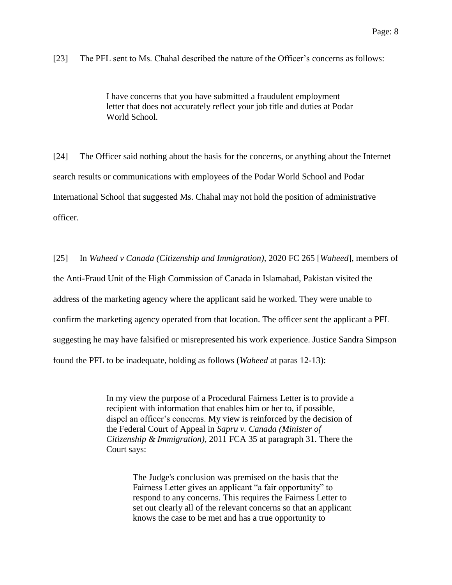[23] The PFL sent to Ms. Chahal described the nature of the Officer's concerns as follows:

I have concerns that you have submitted a fraudulent employment letter that does not accurately reflect your job title and duties at Podar World School.

[24] The Officer said nothing about the basis for the concerns, or anything about the Internet search results or communications with employees of the Podar World School and Podar International School that suggested Ms. Chahal may not hold the position of administrative officer.

[25] In *Waheed v Canada (Citizenship and Immigration)*, 2020 FC 265 [*Waheed*], members of the Anti-Fraud Unit of the High Commission of Canada in Islamabad, Pakistan visited the address of the marketing agency where the applicant said he worked. They were unable to confirm the marketing agency operated from that location. The officer sent the applicant a PFL suggesting he may have falsified or misrepresented his work experience. Justice Sandra Simpson found the PFL to be inadequate, holding as follows (*Waheed* at paras 12-13):

> In my view the purpose of a Procedural Fairness Letter is to provide a recipient with information that enables him or her to, if possible, dispel an officer's concerns. My view is reinforced by the decision of the Federal Court of Appeal in *Sapru v. Canada (Minister of Citizenship & Immigration)*, 2011 FCA 35 at paragraph 31. There the Court says:

> > The Judge's conclusion was premised on the basis that the Fairness Letter gives an applicant "a fair opportunity" to respond to any concerns. This requires the Fairness Letter to set out clearly all of the relevant concerns so that an applicant knows the case to be met and has a true opportunity to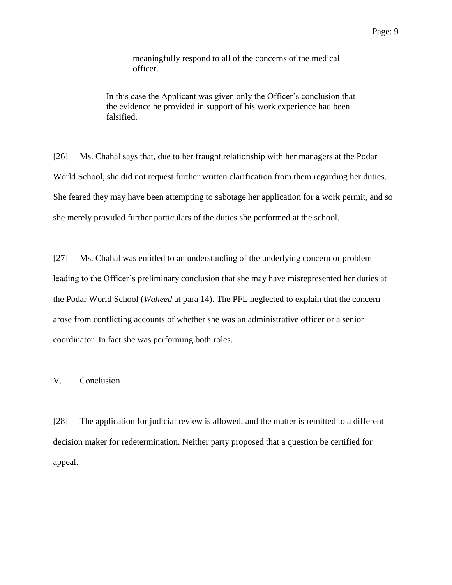meaningfully respond to all of the concerns of the medical officer.

In this case the Applicant was given only the Officer's conclusion that the evidence he provided in support of his work experience had been falsified.

[26] Ms. Chahal says that, due to her fraught relationship with her managers at the Podar World School, she did not request further written clarification from them regarding her duties. She feared they may have been attempting to sabotage her application for a work permit, and so she merely provided further particulars of the duties she performed at the school.

[27] Ms. Chahal was entitled to an understanding of the underlying concern or problem leading to the Officer's preliminary conclusion that she may have misrepresented her duties at the Podar World School (*Waheed* at para 14). The PFL neglected to explain that the concern arose from conflicting accounts of whether she was an administrative officer or a senior coordinator. In fact she was performing both roles.

### V. Conclusion

[28] The application for judicial review is allowed, and the matter is remitted to a different decision maker for redetermination. Neither party proposed that a question be certified for appeal.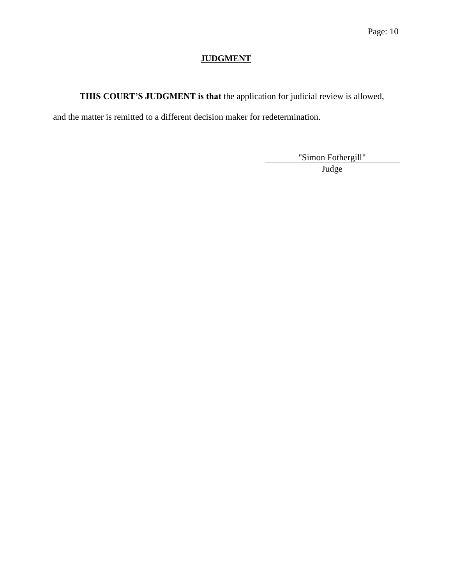# **JUDGMENT**

**THIS COURT'S JUDGMENT is that** the application for judicial review is allowed,

and the matter is remitted to a different decision maker for redetermination.

"Simon Fothergill" Judge